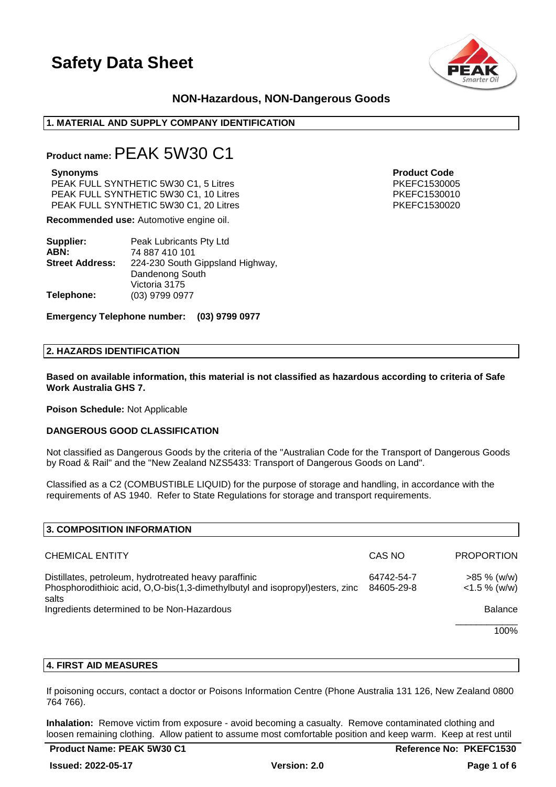

# **NON-Hazardous, NON-Dangerous Goods**

# **1. MATERIAL AND SUPPLY COMPANY IDENTIFICATION**

# **Product name:**PEAK 5W30 C1

#### **Synonyms Product Code**

PEAK FULL SYNTHETIC 5W30 C1, 5 Litres **PEAK FULL SYNTHETIC 5W30 C1, 5 Litres** PKEFC1530005 PEAK FULL SYNTHETIC 5W30 C1, 10 Litres PKEFC1530010 PEAK FULL SYNTHETIC 5W30 C1, 20 Litres PKEFC1530020 PKEFC1530020

**Recommended use:** Automotive engine oil.

| Supplier:              | Peak Lubricants Pty Ltd          |
|------------------------|----------------------------------|
| ABN:                   | 74 887 410 101                   |
| <b>Street Address:</b> | 224-230 South Gippsland Highway, |
|                        | Dandenong South                  |
|                        | Victoria 3175                    |
| Telephone:             | (03) 9799 0977                   |

**Emergency Telephone number: (03) 9799 0977**

### **2. HAZARDS IDENTIFICATION**

**Based on available information, this material is not classified as hazardous according to criteria of Safe Work Australia GHS 7.**

**Poison Schedule:** Not Applicable

### **DANGEROUS GOOD CLASSIFICATION**

Not classified as Dangerous Goods by the criteria of the "Australian Code for the Transport of Dangerous Goods by Road & Rail" and the "New Zealand NZS5433: Transport of Dangerous Goods on Land".

Classified as a C2 (COMBUSTIBLE LIQUID) for the purpose of storage and handling, in accordance with the requirements of AS 1940. Refer to State Regulations for storage and transport requirements.

| 3. COMPOSITION INFORMATION                                                                                                                      |                          |                                   |
|-------------------------------------------------------------------------------------------------------------------------------------------------|--------------------------|-----------------------------------|
| <b>CHEMICAL ENTITY</b>                                                                                                                          | CAS NO                   | <b>PROPORTION</b>                 |
| Distillates, petroleum, hydrotreated heavy paraffinic<br>Phosphorodithioic acid, O,O-bis(1,3-dimethylbutyl and isopropyl) esters, zinc<br>salts | 64742-54-7<br>84605-29-8 | $>85 \%$ (w/w)<br>$<$ 1.5 % (w/w) |
| Ingredients determined to be Non-Hazardous                                                                                                      |                          | <b>Balance</b>                    |
|                                                                                                                                                 |                          | 100%                              |

### **4. FIRST AID MEASURES**

If poisoning occurs, contact a doctor or Poisons Information Centre (Phone Australia 131 126, New Zealand 0800 764 766).

**Inhalation:** Remove victim from exposure - avoid becoming a casualty. Remove contaminated clothing and loosen remaining clothing. Allow patient to assume most comfortable position and keep warm. Keep at rest until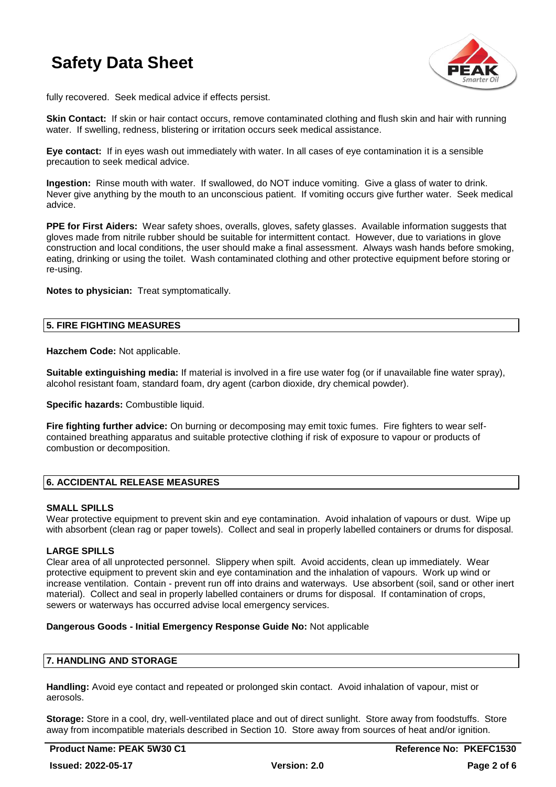

fully recovered. Seek medical advice if effects persist.

**Skin Contact:** If skin or hair contact occurs, remove contaminated clothing and flush skin and hair with running water. If swelling, redness, blistering or irritation occurs seek medical assistance.

**Eye contact:** If in eyes wash out immediately with water. In all cases of eye contamination it is a sensible precaution to seek medical advice.

**Ingestion:** Rinse mouth with water. If swallowed, do NOT induce vomiting. Give a glass of water to drink. Never give anything by the mouth to an unconscious patient. If vomiting occurs give further water. Seek medical advice.

**PPE for First Aiders:** Wear safety shoes, overalls, gloves, safety glasses. Available information suggests that gloves made from nitrile rubber should be suitable for intermittent contact. However, due to variations in glove construction and local conditions, the user should make a final assessment. Always wash hands before smoking, eating, drinking or using the toilet. Wash contaminated clothing and other protective equipment before storing or re-using.

**Notes to physician:** Treat symptomatically.

# **5. FIRE FIGHTING MEASURES**

**Hazchem Code:** Not applicable.

**Suitable extinguishing media:** If material is involved in a fire use water fog (or if unavailable fine water spray), alcohol resistant foam, standard foam, dry agent (carbon dioxide, dry chemical powder).

**Specific hazards: Combustible liquid.** 

**Fire fighting further advice:** On burning or decomposing may emit toxic fumes. Fire fighters to wear selfcontained breathing apparatus and suitable protective clothing if risk of exposure to vapour or products of combustion or decomposition.

# **6. ACCIDENTAL RELEASE MEASURES**

### **SMALL SPILLS**

Wear protective equipment to prevent skin and eye contamination. Avoid inhalation of vapours or dust. Wipe up with absorbent (clean rag or paper towels). Collect and seal in properly labelled containers or drums for disposal.

# **LARGE SPILLS**

Clear area of all unprotected personnel. Slippery when spilt. Avoid accidents, clean up immediately. Wear protective equipment to prevent skin and eye contamination and the inhalation of vapours. Work up wind or increase ventilation. Contain - prevent run off into drains and waterways. Use absorbent (soil, sand or other inert material). Collect and seal in properly labelled containers or drums for disposal. If contamination of crops, sewers or waterways has occurred advise local emergency services.

### **Dangerous Goods - Initial Emergency Response Guide No:** Not applicable

# **7. HANDLING AND STORAGE**

**Handling:** Avoid eye contact and repeated or prolonged skin contact. Avoid inhalation of vapour, mist or aerosols.

**Storage:** Store in a cool, dry, well-ventilated place and out of direct sunlight. Store away from foodstuffs. Store away from incompatible materials described in Section 10. Store away from sources of heat and/or ignition.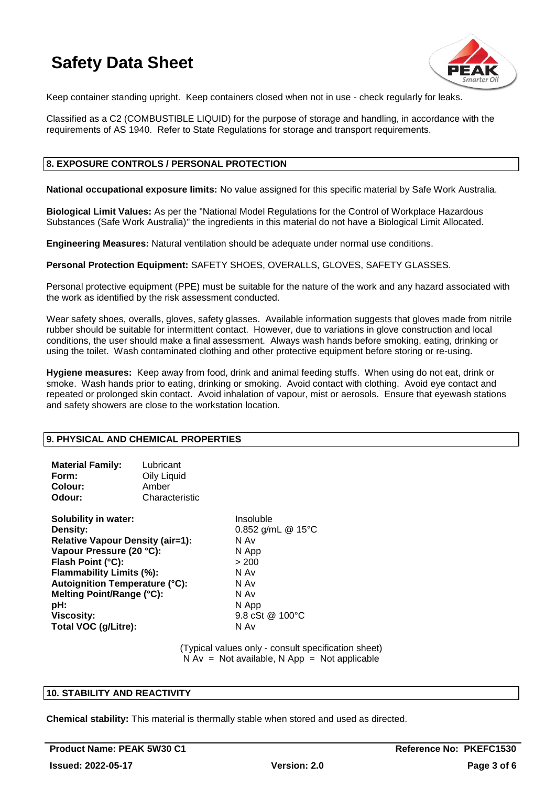

Keep container standing upright. Keep containers closed when not in use - check regularly for leaks.

Classified as a C2 (COMBUSTIBLE LIQUID) for the purpose of storage and handling, in accordance with the requirements of AS 1940. Refer to State Regulations for storage and transport requirements.

# **8. EXPOSURE CONTROLS / PERSONAL PROTECTION**

**National occupational exposure limits:** No value assigned for this specific material by Safe Work Australia.

**Biological Limit Values:** As per the "National Model Regulations for the Control of Workplace Hazardous Substances (Safe Work Australia)" the ingredients in this material do not have a Biological Limit Allocated.

**Engineering Measures:** Natural ventilation should be adequate under normal use conditions.

**Personal Protection Equipment:** SAFETY SHOES, OVERALLS, GLOVES, SAFETY GLASSES.

Personal protective equipment (PPE) must be suitable for the nature of the work and any hazard associated with the work as identified by the risk assessment conducted.

Wear safety shoes, overalls, gloves, safety glasses. Available information suggests that gloves made from nitrile rubber should be suitable for intermittent contact. However, due to variations in glove construction and local conditions, the user should make a final assessment. Always wash hands before smoking, eating, drinking or using the toilet. Wash contaminated clothing and other protective equipment before storing or re-using.

**Hygiene measures:** Keep away from food, drink and animal feeding stuffs. When using do not eat, drink or smoke. Wash hands prior to eating, drinking or smoking. Avoid contact with clothing. Avoid eye contact and repeated or prolonged skin contact. Avoid inhalation of vapour, mist or aerosols. Ensure that eyewash stations and safety showers are close to the workstation location.

# **9. PHYSICAL AND CHEMICAL PROPERTIES**

| <b>Material Family:</b><br>Form:<br>Colour:<br>Odour:                                                                                                                                                                                                                       | Lubricant<br>Oily Liquid<br>Amber<br>Characteristic |                                                                                                                      |
|-----------------------------------------------------------------------------------------------------------------------------------------------------------------------------------------------------------------------------------------------------------------------------|-----------------------------------------------------|----------------------------------------------------------------------------------------------------------------------|
| Solubility in water:<br>Density:<br><b>Relative Vapour Density (air=1):</b><br>Vapour Pressure (20 °C):<br>Flash Point (°C):<br>Flammability Limits (%):<br><b>Autoignition Temperature (°C):</b><br>Melting Point/Range (°C):<br>pH:<br>Viscosity:<br>Total VOC (g/Litre): |                                                     | Insoluble<br>0.852 g/mL @ 15°C<br>N Av<br>N App<br>> 200<br>N Av<br>N Av<br>N Av<br>N App<br>9.8 cSt @ 100°C<br>N Av |

(Typical values only - consult specification sheet)  $N Av = Not available, N App = Not applicable$ 

# **10. STABILITY AND REACTIVITY**

**Chemical stability:** This material is thermally stable when stored and used as directed.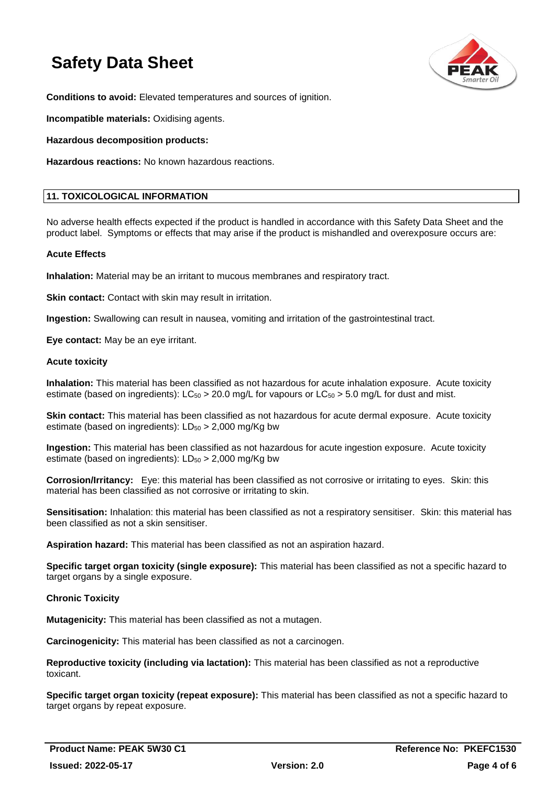

**Conditions to avoid:** Elevated temperatures and sources of ignition.

**Incompatible materials:** Oxidising agents.

**Hazardous decomposition products:**

**Hazardous reactions:** No known hazardous reactions.

### **11. TOXICOLOGICAL INFORMATION**

No adverse health effects expected if the product is handled in accordance with this Safety Data Sheet and the product label. Symptoms or effects that may arise if the product is mishandled and overexposure occurs are:

### **Acute Effects**

**Inhalation:** Material may be an irritant to mucous membranes and respiratory tract.

**Skin contact:** Contact with skin may result in irritation.

**Ingestion:** Swallowing can result in nausea, vomiting and irritation of the gastrointestinal tract.

**Eye contact:** May be an eye irritant.

### **Acute toxicity**

**Inhalation:** This material has been classified as not hazardous for acute inhalation exposure. Acute toxicity estimate (based on ingredients):  $LC_{50} > 20.0$  mg/L for vapours or  $LC_{50} > 5.0$  mg/L for dust and mist.

**Skin contact:** This material has been classified as not hazardous for acute dermal exposure. Acute toxicity estimate (based on ingredients):  $LD_{50} > 2,000$  mg/Kg bw

**Ingestion:** This material has been classified as not hazardous for acute ingestion exposure. Acute toxicity estimate (based on ingredients):  $LD_{50} > 2,000$  mg/Kg bw

**Corrosion/Irritancy:** Eye: this material has been classified as not corrosive or irritating to eyes. Skin: this material has been classified as not corrosive or irritating to skin.

**Sensitisation:** Inhalation: this material has been classified as not a respiratory sensitiser. Skin: this material has been classified as not a skin sensitiser.

**Aspiration hazard:** This material has been classified as not an aspiration hazard.

**Specific target organ toxicity (single exposure):** This material has been classified as not a specific hazard to target organs by a single exposure.

### **Chronic Toxicity**

**Mutagenicity:** This material has been classified as not a mutagen.

**Carcinogenicity:** This material has been classified as not a carcinogen.

**Reproductive toxicity (including via lactation):** This material has been classified as not a reproductive toxicant.

**Specific target organ toxicity (repeat exposure):** This material has been classified as not a specific hazard to target organs by repeat exposure.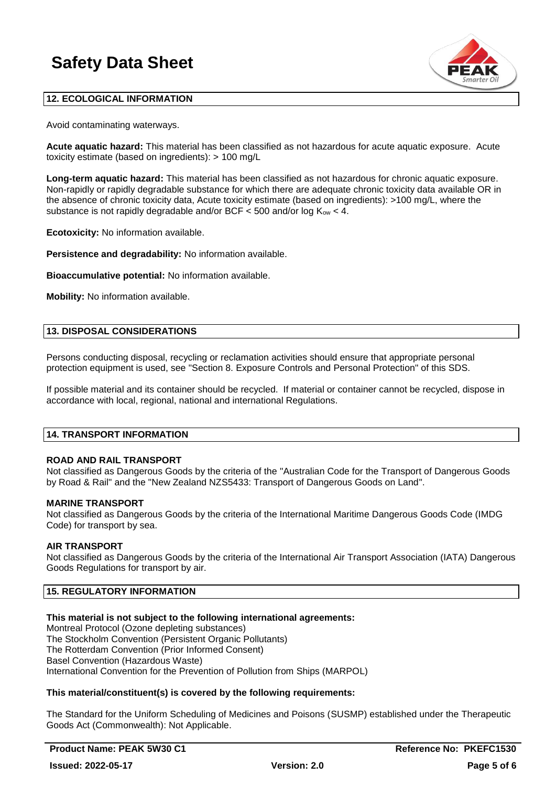

# **12. ECOLOGICAL INFORMATION**

Avoid contaminating waterways.

**Acute aquatic hazard:** This material has been classified as not hazardous for acute aquatic exposure. Acute toxicity estimate (based on ingredients): > 100 mg/L

**Long-term aquatic hazard:** This material has been classified as not hazardous for chronic aquatic exposure. Non-rapidly or rapidly degradable substance for which there are adequate chronic toxicity data available OR in the absence of chronic toxicity data, Acute toxicity estimate (based on ingredients): >100 mg/L, where the substance is not rapidly degradable and/or BCF  $\lt$  500 and/or log  $K_{ow} \lt$  4.

**Ecotoxicity:** No information available.

**Persistence and degradability:** No information available.

**Bioaccumulative potential:** No information available.

**Mobility:** No information available.

### **13. DISPOSAL CONSIDERATIONS**

Persons conducting disposal, recycling or reclamation activities should ensure that appropriate personal protection equipment is used, see "Section 8. Exposure Controls and Personal Protection" of this SDS.

If possible material and its container should be recycled. If material or container cannot be recycled, dispose in accordance with local, regional, national and international Regulations.

### **14. TRANSPORT INFORMATION**

# **ROAD AND RAIL TRANSPORT**

Not classified as Dangerous Goods by the criteria of the "Australian Code for the Transport of Dangerous Goods by Road & Rail" and the "New Zealand NZS5433: Transport of Dangerous Goods on Land".

### **MARINE TRANSPORT**

Not classified as Dangerous Goods by the criteria of the International Maritime Dangerous Goods Code (IMDG Code) for transport by sea.

### **AIR TRANSPORT**

Not classified as Dangerous Goods by the criteria of the International Air Transport Association (IATA) Dangerous Goods Regulations for transport by air.

# **15. REGULATORY INFORMATION**

# **This material is not subject to the following international agreements:**

Montreal Protocol (Ozone depleting substances) The Stockholm Convention (Persistent Organic Pollutants) The Rotterdam Convention (Prior Informed Consent) Basel Convention (Hazardous Waste) International Convention for the Prevention of Pollution from Ships (MARPOL)

# **This material/constituent(s) is covered by the following requirements:**

The Standard for the Uniform Scheduling of Medicines and Poisons (SUSMP) established under the Therapeutic Goods Act (Commonwealth): Not Applicable.